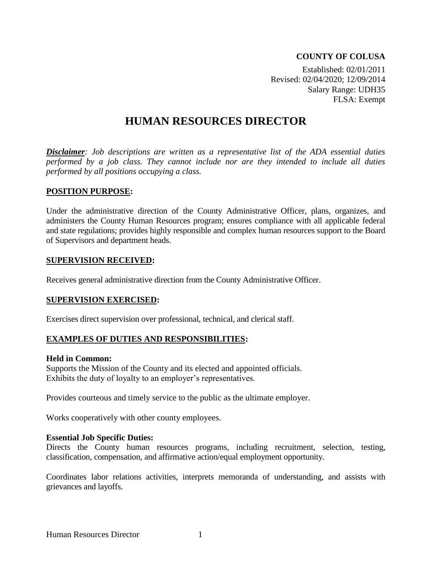### **COUNTY OF COLUSA**

Established: 02/01/2011 Revised: 02/04/2020; 12/09/2014 Salary Range: UDH35 FLSA: Exempt

# **HUMAN RESOURCES DIRECTOR**

*Disclaimer: Job descriptions are written as a representative list of the ADA essential duties performed by a job class. They cannot include nor are they intended to include all duties performed by all positions occupying a class.*

### **POSITION PURPOSE:**

Under the administrative direction of the County Administrative Officer, plans, organizes, and administers the County Human Resources program; ensures compliance with all applicable federal and state regulations; provides highly responsible and complex human resources support to the Board of Supervisors and department heads.

#### **SUPERVISION RECEIVED:**

Receives general administrative direction from the County Administrative Officer.

### **SUPERVISION EXERCISED:**

Exercises direct supervision over professional, technical, and clerical staff.

### **EXAMPLES OF DUTIES AND RESPONSIBILITIES:**

#### **Held in Common:**

Supports the Mission of the County and its elected and appointed officials. Exhibits the duty of loyalty to an employer's representatives.

Provides courteous and timely service to the public as the ultimate employer.

Works cooperatively with other county employees.

### **Essential Job Specific Duties:**

Directs the County human resources programs, including recruitment, selection, testing, classification, compensation, and affirmative action/equal employment opportunity.

Coordinates labor relations activities, interprets memoranda of understanding, and assists with grievances and layoffs.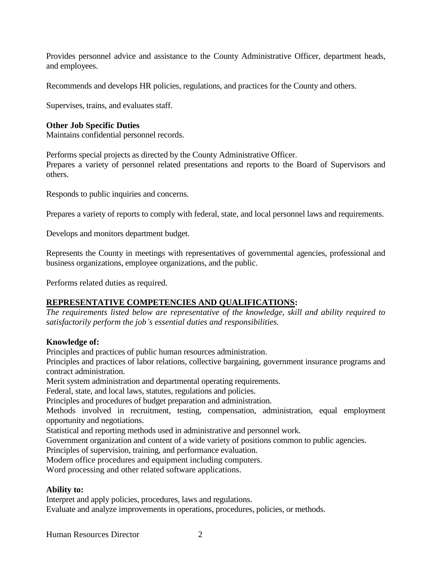Provides personnel advice and assistance to the County Administrative Officer, department heads, and employees.

Recommends and develops HR policies, regulations, and practices for the County and others.

Supervises, trains, and evaluates staff.

### **Other Job Specific Duties**

Maintains confidential personnel records.

Performs special projects as directed by the County Administrative Officer.

Prepares a variety of personnel related presentations and reports to the Board of Supervisors and others.

Responds to public inquiries and concerns.

Prepares a variety of reports to comply with federal, state, and local personnel laws and requirements.

Develops and monitors department budget.

Represents the County in meetings with representatives of governmental agencies, professional and business organizations, employee organizations, and the public.

Performs related duties as required.

# **REPRESENTATIVE COMPETENCIES AND QUALIFICATIONS:**

*The requirements listed below are representative of the knowledge, skill and ability required to satisfactorily perform the job's essential duties and responsibilities.*

### **Knowledge of:**

Principles and practices of public human resources administration.

Principles and practices of labor relations, collective bargaining, government insurance programs and contract administration.

Merit system administration and departmental operating requirements.

Federal, state, and local laws, statutes, regulations and policies.

Principles and procedures of budget preparation and administration.

Methods involved in recruitment, testing, compensation, administration, equal employment opportunity and negotiations.

Statistical and reporting methods used in administrative and personnel work.

Government organization and content of a wide variety of positions common to public agencies.

Principles of supervision, training, and performance evaluation.

Modern office procedures and equipment including computers.

Word processing and other related software applications.

# **Ability to:**

Interpret and apply policies, procedures, laws and regulations.

Evaluate and analyze improvements in operations, procedures, policies, or methods.